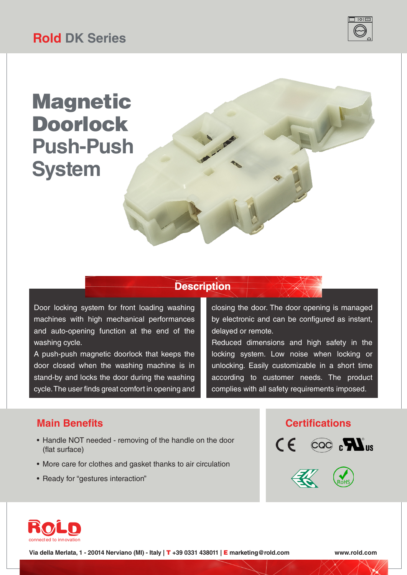

## **Magnetic** Doorlock **Push-Push System**

#### **Description**

Door locking system for front loading washing machines with high mechanical performances and auto-opening function at the end of the washing cycle.

A push-push magnetic doorlock that keeps the door closed when the washing machine is in stand-by and locks the door during the washing cycle. The user finds great comfort in opening and

closing the door. The door opening is managed by electronic and can be configured as instant, delayed or remote.

Reduced dimensions and high safety in the locking system. Low noise when locking or unlocking. Easily customizable in a short time according to customer needs. The product complies with all safety requirements imposed.

- Handle NOT needed removing of the handle on the door (flat surface)
- More care for clothes and gasket thanks to air circulation
- Ready for "gestures interaction"